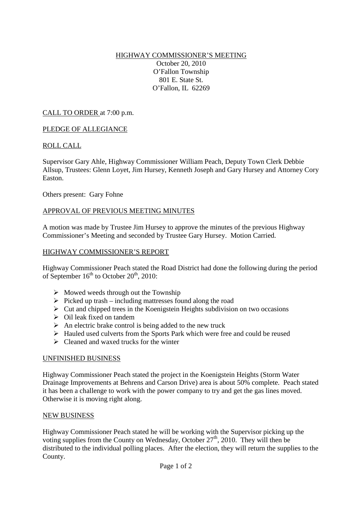## HIGHWAY COMMISSIONER'S MEETING October 20, 2010 O'Fallon Township 801 E. State St. O'Fallon, IL 62269

CALL TO ORDER at 7:00 p.m.

### PLEDGE OF ALLEGIANCE

### ROLL CALL

Supervisor Gary Ahle, Highway Commissioner William Peach, Deputy Town Clerk Debbie Allsup, Trustees: Glenn Loyet, Jim Hursey, Kenneth Joseph and Gary Hursey and Attorney Cory Easton.

Others present: Gary Fohne

### APPROVAL OF PREVIOUS MEETING MINUTES

A motion was made by Trustee Jim Hursey to approve the minutes of the previous Highway Commissioner's Meeting and seconded by Trustee Gary Hursey. Motion Carried.

#### HIGHWAY COMMISSIONER'S REPORT

Highway Commissioner Peach stated the Road District had done the following during the period of September  $16<sup>th</sup>$  to October  $20<sup>th</sup>$ , 2010:

- $\triangleright$  Mowed weeds through out the Township
- $\triangleright$  Picked up trash including mattresses found along the road
- $\triangleright$  Cut and chipped trees in the Koenigstein Heights subdivision on two occasions
- $\triangleright$  Oil leak fixed on tandem
- $\triangleright$  An electric brake control is being added to the new truck
- $\triangleright$  Hauled used culverts from the Sports Park which were free and could be reused
- $\triangleright$  Cleaned and waxed trucks for the winter

### UNFINISHED BUSINESS

Highway Commissioner Peach stated the project in the Koenigstein Heights (Storm Water Drainage Improvements at Behrens and Carson Drive) area is about 50% complete. Peach stated it has been a challenge to work with the power company to try and get the gas lines moved. Otherwise it is moving right along.

#### NEW BUSINESS

Highway Commissioner Peach stated he will be working with the Supervisor picking up the voting supplies from the County on Wednesday, October  $27<sup>th</sup>$ , 2010. They will then be distributed to the individual polling places. After the election, they will return the supplies to the County.